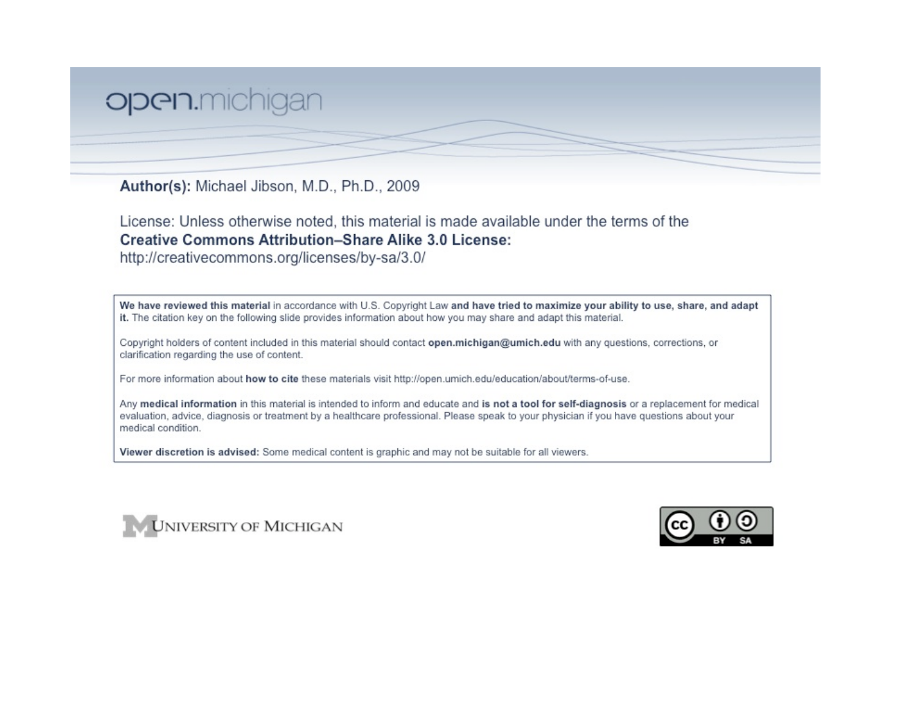## open.michigan

Author(s): Michael Jibson, M.D., Ph.D., 2009

License: Unless otherwise noted, this material is made available under the terms of the **Creative Commons Attribution-Share Alike 3.0 License:** 

http://creativecommons.org/licenses/by-sa/3.0/

We have reviewed this material in accordance with U.S. Copyright Law and have tried to maximize your ability to use, share, and adapt it. The citation key on the following slide provides information about how you may share and adapt this material.

Copyright holders of content included in this material should contact open.michigan@umich.edu with any questions, corrections, or clarification regarding the use of content.

For more information about how to cite these materials visit http://open.umich.edu/education/about/terms-of-use.

Any medical information in this material is intended to inform and educate and is not a tool for self-diagnosis or a replacement for medical evaluation, advice, diagnosis or treatment by a healthcare professional. Please speak to your physician if you have questions about your medical condition.

Viewer discretion is advised: Some medical content is graphic and may not be suitable for all viewers.



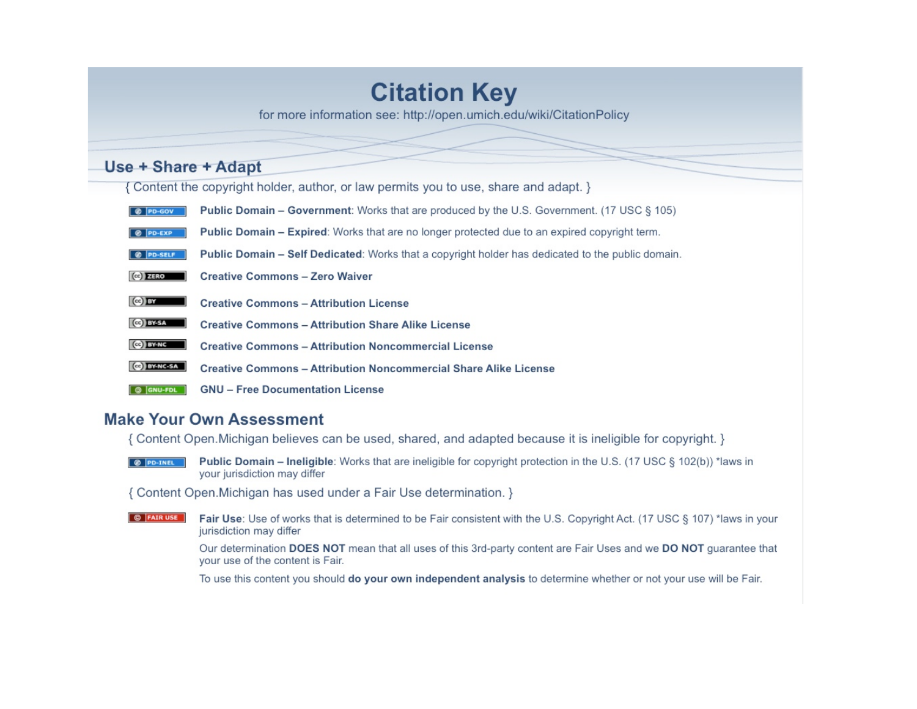# **Citation Key**

for more information see: http://open.umich.edu/wiki/CitationPolicy

## Use + Share + Adapt

{ Content the copyright holder, author, or law permits you to use, share and adapt. }

- **C** PD-GOV **Public Domain – Government:** Works that are produced by the U.S. Government. (17 USC § 105)
- Public Domain Expired: Works that are no longer protected due to an expired copyright term. @ PD-EXP
- @ PD-SELF Public Domain - Self Dedicated: Works that a copyright holder has dedicated to the public domain.
- $(Cc)$  ZERO **Creative Commons - Zero Waiver**
- $(c)$  BY **Creative Commons - Attribution License**
- Ce BY-SA **Creative Commons - Attribution Share Alike License**
- $(c)$  BY-NC **Creative Commons - Attribution Noncommercial License**
- **CO BY-NC-SA Creative Commons - Attribution Noncommercial Share Alike License**
- **GNU Free Documentation License**  $\boxed{\circledcirc}$   $\boxed{\mathsf{GNU-FDL}}$

### **Make Your Own Assessment**

{ Content Open. Michigan believes can be used, shared, and adapted because it is ineligible for copyright. }

**Public Domain – Ineligible:** Works that are ineligible for copyright protection in the U.S. (17 USC § 102(b)) \*laws in **O PD-INEL** your jurisdiction may differ

{ Content Open. Michigan has used under a Fair Use determination. }

**O** FAIR USE Fair Use: Use of works that is determined to be Fair consistent with the U.S. Copyright Act. (17 USC § 107) \*laws in your jurisdiction may differ

> Our determination DOES NOT mean that all uses of this 3rd-party content are Fair Uses and we DO NOT guarantee that your use of the content is Fair.

To use this content you should do your own independent analysis to determine whether or not your use will be Fair.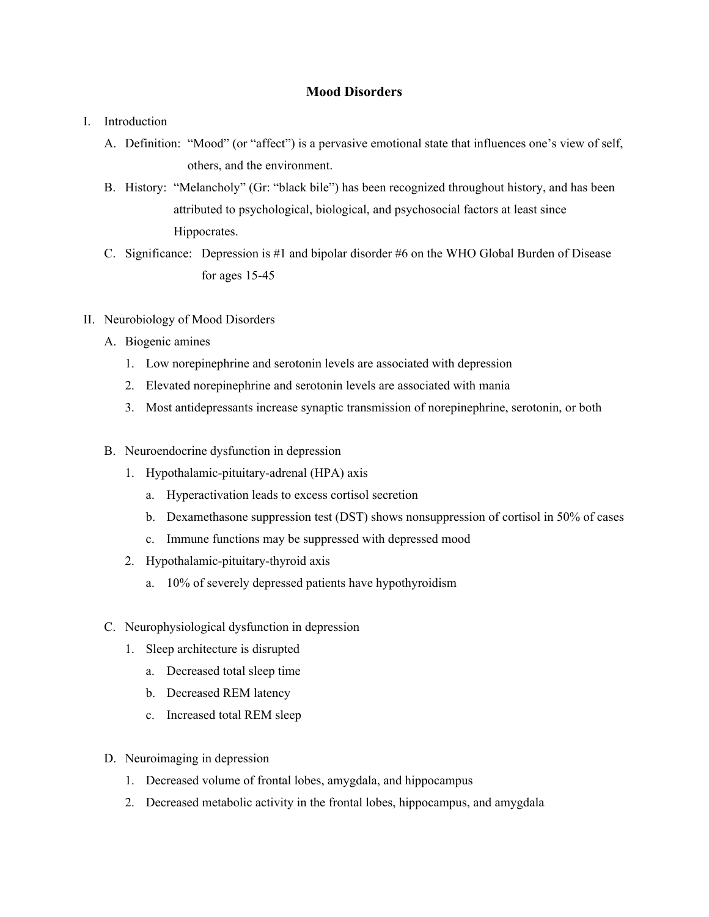#### **Mood Disorders**

- I. Introduction
	- A. Definition: "Mood" (or "affect") is a pervasive emotional state that influences one's view of self, others, and the environment.
	- B. History: "Melancholy" (Gr: "black bile") has been recognized throughout history, and has been attributed to psychological, biological, and psychosocial factors at least since Hippocrates.
	- C. Significance: Depression is #1 and bipolar disorder #6 on the WHO Global Burden of Disease for ages 15-45
- II. Neurobiology of Mood Disorders
	- A. Biogenic amines
		- 1. Low norepinephrine and serotonin levels are associated with depression
		- 2. Elevated norepinephrine and serotonin levels are associated with mania
		- 3. Most antidepressants increase synaptic transmission of norepinephrine, serotonin, or both
	- B. Neuroendocrine dysfunction in depression
		- 1. Hypothalamic-pituitary-adrenal (HPA) axis
			- a. Hyperactivation leads to excess cortisol secretion
			- b. Dexamethasone suppression test (DST) shows nonsuppression of cortisol in 50% of cases
			- c. Immune functions may be suppressed with depressed mood
		- 2. Hypothalamic-pituitary-thyroid axis
			- a. 10% of severely depressed patients have hypothyroidism
	- C. Neurophysiological dysfunction in depression
		- 1. Sleep architecture is disrupted
			- a. Decreased total sleep time
			- b. Decreased REM latency
			- c. Increased total REM sleep
	- D. Neuroimaging in depression
		- 1. Decreased volume of frontal lobes, amygdala, and hippocampus
		- 2. Decreased metabolic activity in the frontal lobes, hippocampus, and amygdala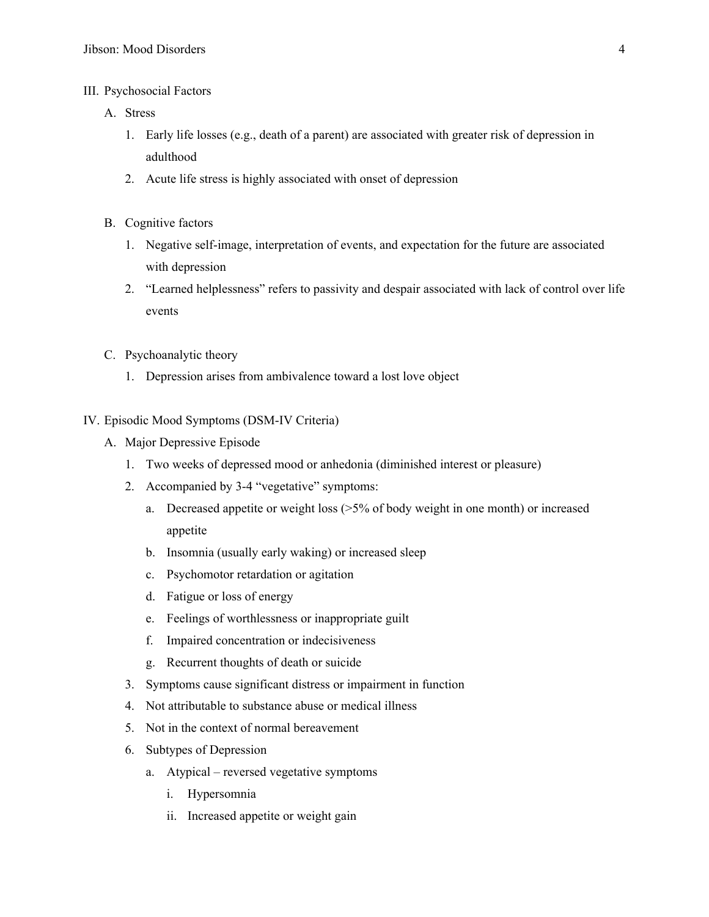- III. Psychosocial Factors
	- A. Stress
		- 1. Early life losses (e.g., death of a parent) are associated with greater risk of depression in adulthood
		- 2. Acute life stress is highly associated with onset of depression
	- B. Cognitive factors
		- 1. Negative self-image, interpretation of events, and expectation for the future are associated with depression
		- 2. "Learned helplessness" refers to passivity and despair associated with lack of control over life events
	- C. Psychoanalytic theory
		- 1. Depression arises from ambivalence toward a lost love object
- IV. Episodic Mood Symptoms (DSM-IV Criteria)
	- A. Major Depressive Episode
		- 1. Two weeks of depressed mood or anhedonia (diminished interest or pleasure)
		- 2. Accompanied by 3-4 "vegetative" symptoms:
			- a. Decreased appetite or weight loss  $(5\%$  of body weight in one month) or increased appetite
			- b. Insomnia (usually early waking) or increased sleep
			- c. Psychomotor retardation or agitation
			- d. Fatigue or loss of energy
			- e. Feelings of worthlessness or inappropriate guilt
			- f. Impaired concentration or indecisiveness
			- g. Recurrent thoughts of death or suicide
		- 3. Symptoms cause significant distress or impairment in function
		- 4. Not attributable to substance abuse or medical illness
		- 5. Not in the context of normal bereavement
		- 6. Subtypes of Depression
			- a. Atypical reversed vegetative symptoms
				- i. Hypersomnia
				- ii. Increased appetite or weight gain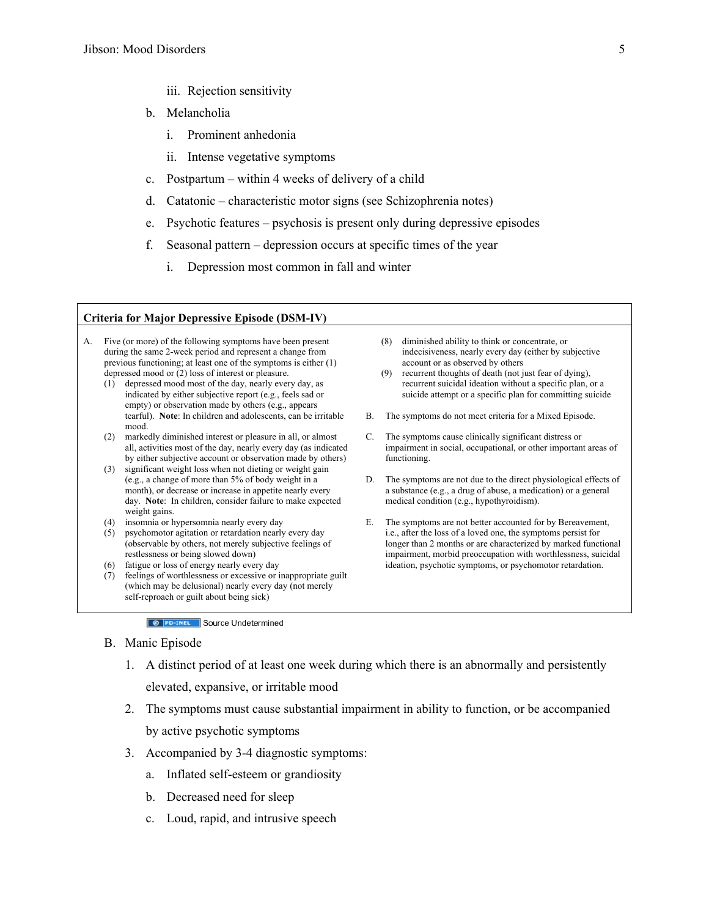- iii. Rejection sensitivity
- b. Melancholia
	- i. Prominent anhedonia
	- ii. Intense vegetative symptoms
- c. Postpartum within 4 weeks of delivery of a child
- d. Catatonic characteristic motor signs (see Schizophrenia notes)
- e. Psychotic features psychosis is present only during depressive episodes
- f. Seasonal pattern depression occurs at specific times of the year
	- i. Depression most common in fall and winter

#### **Criteria for Major Depressive Episode (DSM-IV)**

- A. Five (or more) of the following symptoms have been present during the same 2-week period and represent a change from previous functioning; at least one of the symptoms is either (1) depressed mood or (2) loss of interest or pleasure.
	- (1) depressed mood most of the day, nearly every day, as indicated by either subjective report (e.g., feels sad or empty) or observation made by others (e.g., appears tearful). **Note**: In children and adolescents, can be irritable mood.
	- (2) markedly diminished interest or pleasure in all, or almost all, activities most of the day, nearly every day (as indicated by either subjective account or observation made by others)
	- (3) significant weight loss when not dieting or weight gain (e.g., a change of more than 5% of body weight in a month), or decrease or increase in appetite nearly every day. **Note**: In children, consider failure to make expected weight gains.
	- (4) insomnia or hypersomnia nearly every day
	- (5) psychomotor agitation or retardation nearly every day (observable by others, not merely subjective feelings of restlessness or being slowed down)
	- (6) fatigue or loss of energy nearly every day
	- (7) feelings of worthlessness or excessive or inappropriate guilt (which may be delusional) nearly every day (not merely self-reproach or guilt about being sick)
- (8) diminished ability to think or concentrate, or indecisiveness, nearly every day (either by subjective account or as observed by others
- (9) recurrent thoughts of death (not just fear of dying), recurrent suicidal ideation without a specific plan, or a suicide attempt or a specific plan for committing suicide
- B. The symptoms do not meet criteria for a Mixed Episode.
- C. The symptoms cause clinically significant distress or impairment in social, occupational, or other important areas of functioning.
- D. The symptoms are not due to the direct physiological effects of a substance (e.g., a drug of abuse, a medication) or a general medical condition (e.g., hypothyroidism).
- E. The symptoms are not better accounted for by Bereavement, i.e., after the loss of a loved one, the symptoms persist for longer than 2 months or are characterized by marked functional impairment, morbid preoccupation with worthlessness, suicidal ideation, psychotic symptoms, or psychomotor retardation.

**8** PD-INEL Source Undetermined

#### B. Manic Episode

- 1. A distinct period of at least one week during which there is an abnormally and persistently elevated, expansive, or irritable mood
- 2. The symptoms must cause substantial impairment in ability to function, or be accompanied by active psychotic symptoms
- 3. Accompanied by 3-4 diagnostic symptoms:
	- a. Inflated self-esteem or grandiosity
	- b. Decreased need for sleep
	- c. Loud, rapid, and intrusive speech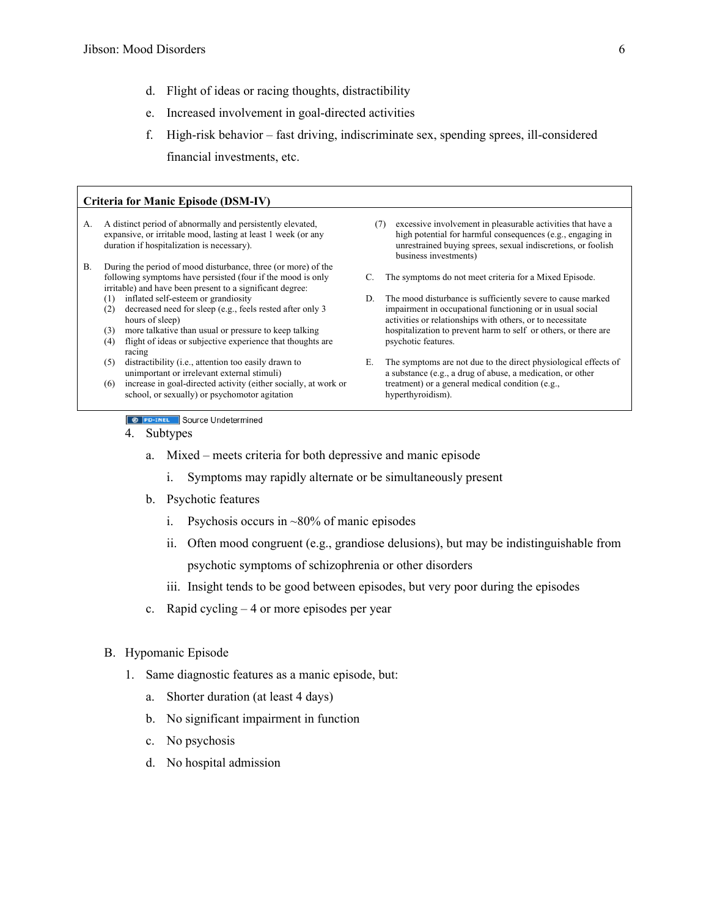- d. Flight of ideas or racing thoughts, distractibility
- e. Increased involvement in goal-directed activities
- f. High-risk behavior fast driving, indiscriminate sex, spending sprees, ill-considered financial investments, etc.

| Criteria for Manic Episode (DSM-IV) |                                                                                                                                                                           |                                                                                                                                                                                                                           |  |  |
|-------------------------------------|---------------------------------------------------------------------------------------------------------------------------------------------------------------------------|---------------------------------------------------------------------------------------------------------------------------------------------------------------------------------------------------------------------------|--|--|
| A.                                  | A distinct period of abnormally and persistently elevated,<br>expansive, or irritable mood, lasting at least 1 week (or any<br>duration if hospitalization is necessary). | excessive involvement in pleasurable activities that have a<br>(7)<br>high potential for harmful consequences (e.g., engaging in<br>unrestrained buying sprees, sexual indiscretions, or foolish<br>business investments) |  |  |
| В.                                  | During the period of mood disturbance, three (or more) of the                                                                                                             |                                                                                                                                                                                                                           |  |  |
|                                     | following symptoms have persisted (four if the mood is only<br>irritable) and have been present to a significant degree:                                                  | The symptoms do not meet criteria for a Mixed Episode.                                                                                                                                                                    |  |  |
|                                     | inflated self-esteem or grandiosity<br>(1)<br>decreased need for sleep (e.g., feels rested after only 3)<br>(2)<br>hours of sleep)                                        | The mood disturbance is sufficiently severe to cause marked<br>D.<br>impairment in occupational functioning or in usual social<br>activities or relationships with others, or to necessitate                              |  |  |
|                                     | more talkative than usual or pressure to keep talking<br>(3)                                                                                                              | hospitalization to prevent harm to self or others, or there are                                                                                                                                                           |  |  |
|                                     | flight of ideas or subjective experience that thoughts are<br>(4)<br>racing                                                                                               | psychotic features.                                                                                                                                                                                                       |  |  |
|                                     | distractibility (i.e., attention too easily drawn to<br>(5)<br>unimportant or irrelevant external stimuli)                                                                | The symptoms are not due to the direct physiological effects of<br>Е.<br>a substance (e.g., a drug of abuse, a medication, or other                                                                                       |  |  |
|                                     | increase in goal-directed activity (either socially, at work or<br>(6)<br>school, or sexually) or psychomotor agitation                                                   | treatment) or a general medical condition (e.g.,<br>hyperthyroidism).                                                                                                                                                     |  |  |
|                                     |                                                                                                                                                                           |                                                                                                                                                                                                                           |  |  |

**8** PD-INEL Source Undetermined

- 4. Subtypes
	- a. Mixed meets criteria for both depressive and manic episode
		- i. Symptoms may rapidly alternate or be simultaneously present
	- b. Psychotic features
		- i. Psychosis occurs in ~80% of manic episodes
		- ii. Often mood congruent (e.g., grandiose delusions), but may be indistinguishable from psychotic symptoms of schizophrenia or other disorders
		- iii. Insight tends to be good between episodes, but very poor during the episodes
	- c. Rapid cycling 4 or more episodes per year
- B. Hypomanic Episode
	- 1. Same diagnostic features as a manic episode, but:
		- a. Shorter duration (at least 4 days)
		- b. No significant impairment in function
		- c. No psychosis
		- d. No hospital admission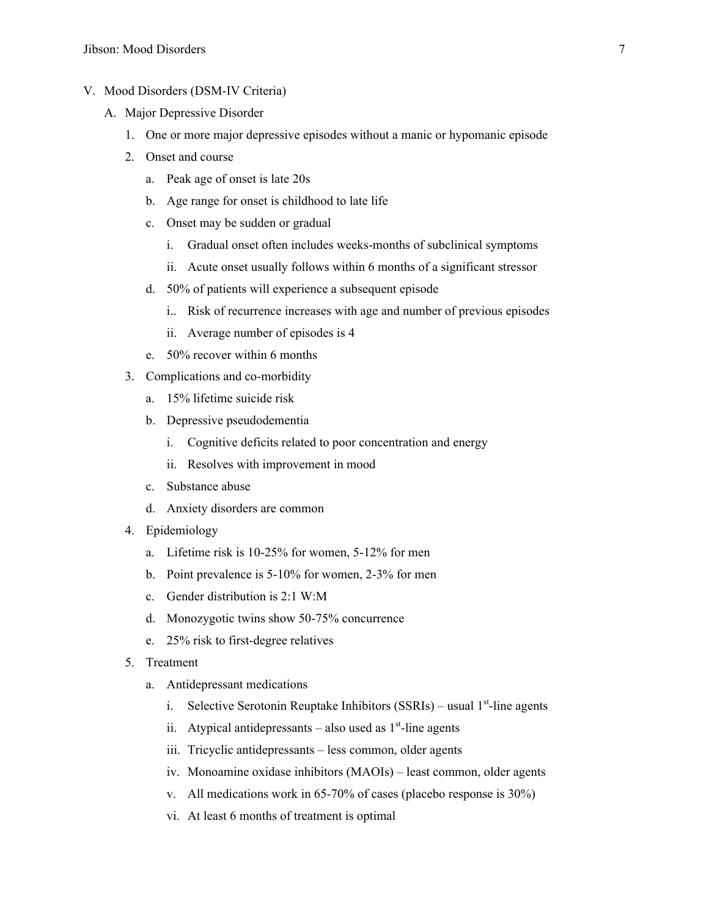- V. Mood Disorders (DSM-IV Criteria)
	- A. Major Depressive Disorder
		- 1. One or more major depressive episodes without a manic or hypomanic episode
		- 2. Onset and course
			- a. Peak age of onset is late 20s
			- b. Age range for onset is childhood to late life
			- c. Onset may be sudden or gradual
				- i. Gradual onset often includes weeks-months of subclinical symptoms
				- ii. Acute onset usually follows within 6 months of a significant stressor
			- d. 50% of patients will experience a subsequent episode
				- i.. Risk of recurrence increases with age and number of previous episodes
				- ii. Average number of episodes is 4
			- e. 50% recover within 6 months
		- 3. Complications and co-morbidity
			- a. 15% lifetime suicide risk
			- b. Depressive pseudodementia
				- i. Cognitive deficits related to poor concentration and energy
				- ii. Resolves with improvement in mood
			- c. Substance abuse
			- d. Anxiety disorders are common
		- 4. Epidemiology
			- a. Lifetime risk is 10-25% for women, 5-12% for men
			- b. Point prevalence is 5-10% for women, 2-3% for men
			- c. Gender distribution is 2:1 W:M
			- d. Monozygotic twins show 50-75% concurrence
			- e. 25% risk to first-degree relatives
		- 5. Treatment
			- a. Antidepressant medications
				- i. Selective Serotonin Reuptake Inhibitors (SSRIs) usual 1<sup>st</sup>-line agents
				- ii. Atypical antidepressants also used as  $1<sup>st</sup>$ -line agents
				- iii. Tricyclic antidepressants less common, older agents
				- iv. Monoamine oxidase inhibitors (MAOIs) least common, older agents
				- v. All medications work in 65-70% of cases (placebo response is 30%)
				- vi. At least 6 months of treatment is optimal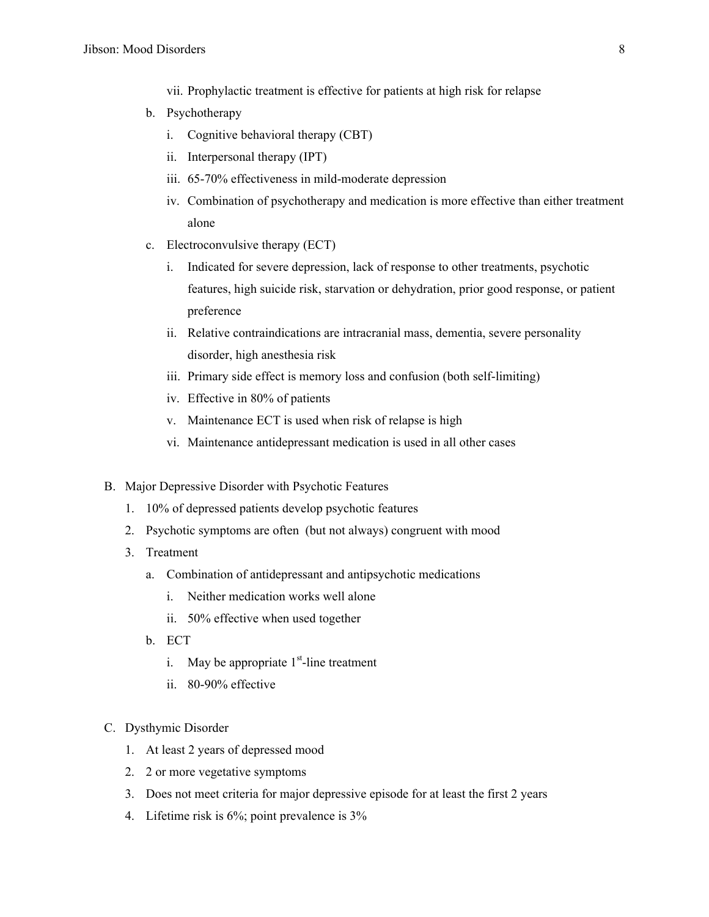vii. Prophylactic treatment is effective for patients at high risk for relapse

- b. Psychotherapy
	- i. Cognitive behavioral therapy (CBT)
	- ii. Interpersonal therapy (IPT)
	- iii. 65-70% effectiveness in mild-moderate depression
	- iv. Combination of psychotherapy and medication is more effective than either treatment alone
- c. Electroconvulsive therapy (ECT)
	- i. Indicated for severe depression, lack of response to other treatments, psychotic features, high suicide risk, starvation or dehydration, prior good response, or patient preference
	- ii. Relative contraindications are intracranial mass, dementia, severe personality disorder, high anesthesia risk
	- iii. Primary side effect is memory loss and confusion (both self-limiting)
	- iv. Effective in 80% of patients
	- v. Maintenance ECT is used when risk of relapse is high
	- vi. Maintenance antidepressant medication is used in all other cases
- B. Major Depressive Disorder with Psychotic Features
	- 1. 10% of depressed patients develop psychotic features
	- 2. Psychotic symptoms are often (but not always) congruent with mood
	- 3. Treatment
		- a. Combination of antidepressant and antipsychotic medications
			- i. Neither medication works well alone
			- ii. 50% effective when used together
		- b. ECT
			- i. May be appropriate  $1<sup>st</sup>$ -line treatment
			- ii. 80-90% effective
- C. Dysthymic Disorder
	- 1. At least 2 years of depressed mood
	- 2. 2 or more vegetative symptoms
	- 3. Does not meet criteria for major depressive episode for at least the first 2 years
	- 4. Lifetime risk is 6%; point prevalence is 3%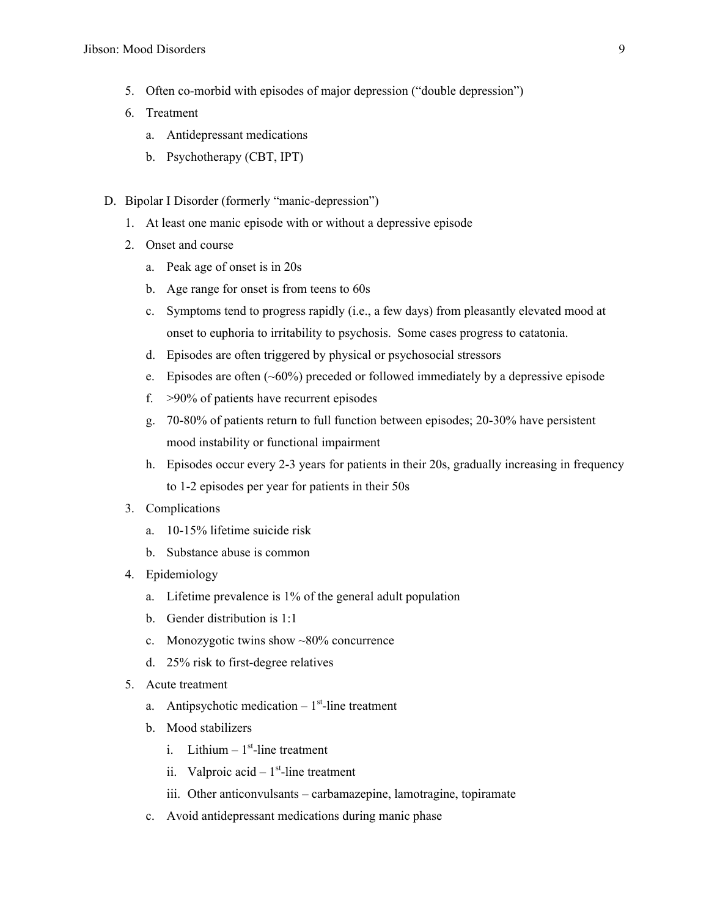- 5. Often co-morbid with episodes of major depression ("double depression")
- 6. Treatment
	- a. Antidepressant medications
	- b. Psychotherapy (CBT, IPT)
- D. Bipolar I Disorder (formerly "manic-depression")
	- 1. At least one manic episode with or without a depressive episode
	- 2. Onset and course
		- a. Peak age of onset is in 20s
		- b. Age range for onset is from teens to 60s
		- c. Symptoms tend to progress rapidly (i.e., a few days) from pleasantly elevated mood at onset to euphoria to irritability to psychosis. Some cases progress to catatonia.
		- d. Episodes are often triggered by physical or psychosocial stressors
		- e. Episodes are often (~60%) preceded or followed immediately by a depressive episode
		- f. >90% of patients have recurrent episodes
		- g. 70-80% of patients return to full function between episodes; 20-30% have persistent mood instability or functional impairment
		- h. Episodes occur every 2-3 years for patients in their 20s, gradually increasing in frequency to 1-2 episodes per year for patients in their 50s
	- 3. Complications
		- a. 10-15% lifetime suicide risk
		- b. Substance abuse is common
	- 4. Epidemiology
		- a. Lifetime prevalence is 1% of the general adult population
		- b. Gender distribution is 1:1
		- c. Monozygotic twins show ~80% concurrence
		- d. 25% risk to first-degree relatives
	- 5. Acute treatment
		- a. Antipsychotic medication  $-1<sup>st</sup>$ -line treatment
		- b. Mood stabilizers
			- i. Lithium  $-1<sup>st</sup>$ -line treatment
			- ii. Valproic acid  $-1$ <sup>st</sup>-line treatment
			- iii. Other anticonvulsants carbamazepine, lamotragine, topiramate
		- c. Avoid antidepressant medications during manic phase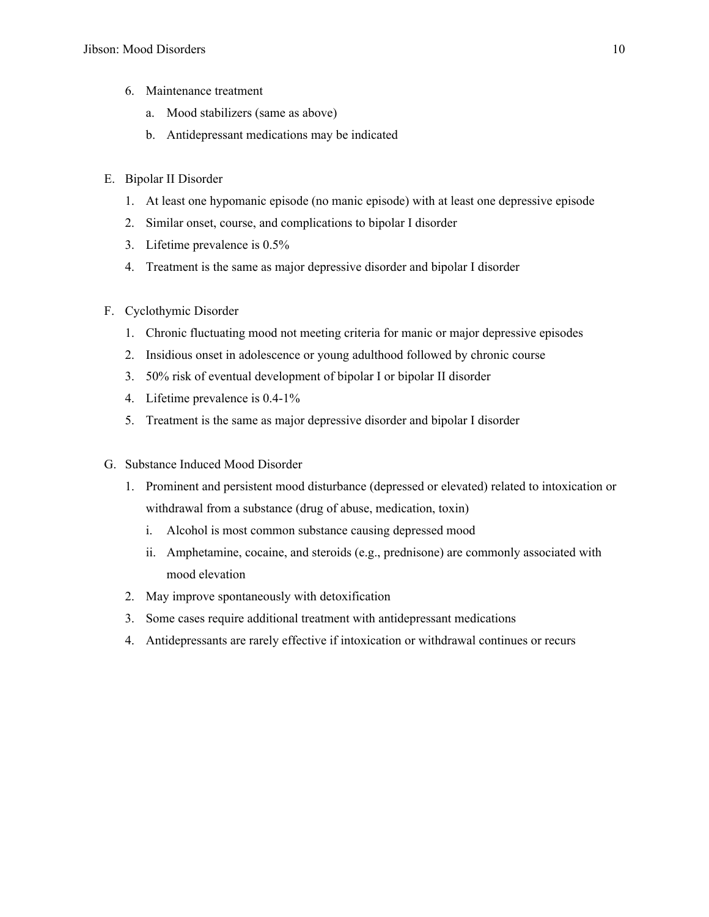- 6. Maintenance treatment
	- a. Mood stabilizers (same as above)
	- b. Antidepressant medications may be indicated
- E. Bipolar II Disorder
	- 1. At least one hypomanic episode (no manic episode) with at least one depressive episode
	- 2. Similar onset, course, and complications to bipolar I disorder
	- 3. Lifetime prevalence is 0.5%
	- 4. Treatment is the same as major depressive disorder and bipolar I disorder
- F. Cyclothymic Disorder
	- 1. Chronic fluctuating mood not meeting criteria for manic or major depressive episodes
	- 2. Insidious onset in adolescence or young adulthood followed by chronic course
	- 3. 50% risk of eventual development of bipolar I or bipolar II disorder
	- 4. Lifetime prevalence is 0.4-1%
	- 5. Treatment is the same as major depressive disorder and bipolar I disorder
- G. Substance Induced Mood Disorder
	- 1. Prominent and persistent mood disturbance (depressed or elevated) related to intoxication or withdrawal from a substance (drug of abuse, medication, toxin)
		- i. Alcohol is most common substance causing depressed mood
		- ii. Amphetamine, cocaine, and steroids (e.g., prednisone) are commonly associated with mood elevation
	- 2. May improve spontaneously with detoxification
	- 3. Some cases require additional treatment with antidepressant medications
	- 4. Antidepressants are rarely effective if intoxication or withdrawal continues or recurs